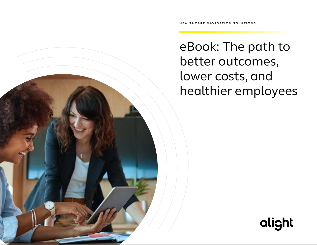eBook: The path to better outcomes, lower costs, and healthier employees

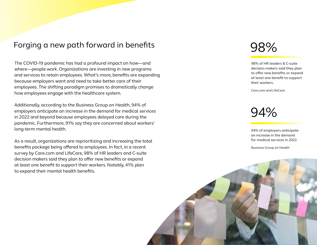## Forging a new path forward in benefits

The COVID-19 pandemic has had a profound impact on how—and where—people work. Organizations are investing in new programs and services to retain employees. What's more, benefits are expanding because employers want and need to take better care of their employees. The shifting paradigm promises to dramatically change how employees engage with the healthcare system.

Additionally, according to the Business Group on Health, 94% of employers anticipate an increase in the demand for medical services in 2022 and beyond because employees delayed care during the pandemic. Furthermore, 91% say they are concerned about workers' long-term mental health.

As a result, organizations are reprioritizing and increasing the total benefits package being offered to employees. In fact, in a recent survey by Care.com and LifeCare, 98% of HR leaders and C-suite decision makers said they plan to offer new benefits or expand at least one benefit to support their workers. Notably, 41% plan to expand their mental health benefits.

# 98%

98% of HR leaders & C-suite decision makers said they plan to offer new benefits or expand at least one benefit to support their workers.

Care.com and LifeCare

94%

94% of employers anticipate an increase in the demand for medical services in 2022.

Business Group on Health

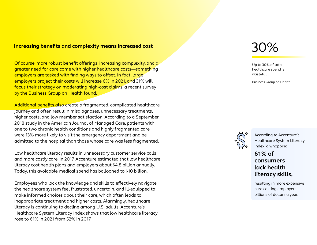### **Increasing benefits and complexity means increased cost**

Of course, more robust benefit offerings, increasing complexity, and a greater need for care come with higher healthcare costs—something employers are tasked with finding ways to offset. In fact, large employers project their costs will increase 6% in 2021, and 31% will focus their strategy on moderating high-cost claims, a recent survey by the Business Group on Health found.

Additional benefits also create a fragmented, complicated healthcare journey and often result in misdiagnoses, unnecessary treatments, higher costs, and low member satisfaction. According to a September 2018 study in the American Journal of Managed Care, patients with one to two chronic health conditions and highly fragmented care were 13% more likely to visit the emergency department and be admitted to the hospital than those whose care was less fragmented.

Low healthcare literacy results in unnecessary customer service calls and more costly care. In 2017, Accenture estimated that low healthcare literacy cost health plans and employers about \$4.8 billion annually. Today, this avoidable medical spend has ballooned to \$10 billion.

Employees who lack the knowledge and skills to effectively navigate the healthcare system feel frustrated, uncertain, and ill-equipped to make informed choices about their care, which often leads to inappropriate treatment and higher costs. Alarmingly, healthcare literacy is continuing to decline among U.S. adults. Accenture's Healthcare System Literacy Index shows that low healthcare literacy rose to 61% in 2021 from 52% in 2017.

# 30%

Up to 30% of total healthcare spend is wasteful.

Business Group on Health



According to Accenture's Healthcare System Literacy Index, a whopping

### **61% of consumers lack health literacy skills,**

resulting in more expensive care costing employers billions of dollars a year.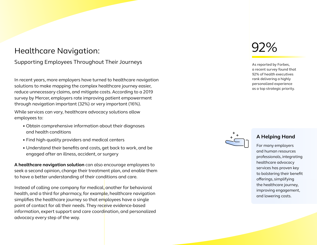## Healthcare Navigation:

### Supporting Employees Throughout Their Journeys

In recent years, more employers have turned to healthcare navigation solutions to make mapping the complex healthcare journey easier, reduce unnecessary claims, and mitigate costs. According to a 2019 survey by Mercer, employers rate improving patient empowerment through navigation important (32%) or very important (16%).

While services can vary, healthcare advocacy solutions allow employees to:

- Obtain comprehensive information about their diagnoses and health conditions
- Find high-quality providers and medical centers
- Understand their benefits and costs, get back to work, and be engaged after an illness, accident, or surgery

**A healthcare navigation solution** can also encourage employees to seek a second opinion, change their treatment plan, and enable them to have a better understanding of their conditions and care.

Instead of calling one company for medical, another for behavioral health, and a third for pharmacy, for example, healthcare navigation simplifies the healthcare journey so that employees have a single point of contact for all their needs. They receive evidence-based information, expert support and care coordination, and personalized advocacy every step of the way.



As reported by Forbes, a recent survey found that 92% of health executives rank delivering a highly personalized experience as a top strategic priority.



### **A Helping Hand**

For many employers and human resources professionals, integrating healthcare advocacy services has proven key to bolstering their benefit offerings, simplifying the healthcare journey, improving engagement, and lowering costs.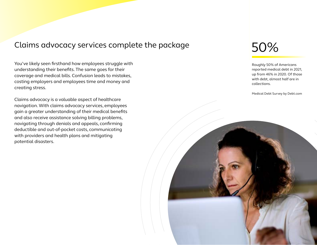## Claims advocacy services complete the package

You've likely seen firsthand how employees struggle with understanding their benefits. The same goes for their coverage and medical bills. Confusion leads to mistakes, costing employers and employees time and money and creating stress.

Claims advocacy is a valuable aspect of healthcare navigation. With claims advocacy services, employees gain a greater understanding of their medical benefits and also receive assistance solving billing problems, navigating through denials and appeals, confirming deductible and out-of-pocket costs, communicating with providers and health plans and mitigating potential disasters.

# 50%

Roughly 50% of Americans reported medical debt in 2021, up from 46% in 2020. Of those with debt, almost half are in collections.

Medical Debt Survey by Debt.com

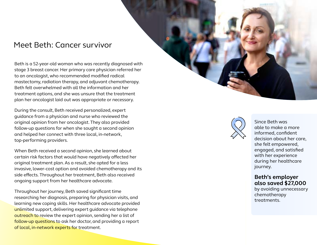## Meet Beth: Cancer survivor

Beth is a 52-year-old woman who was recently diagnosed with stage 3 breast cancer. Her primary care physician referred her to an oncologist, who recommended modified radical mastectomy, radiation therapy, and adjuvant chemotherapy. Beth felt overwhelmed with all the information and her treatment options, and she was unsure that the treatment plan her oncologist laid out was appropriate or necessary.

During the consult, Beth received personalized, expert guidance from a physician and nurse who reviewed the original opinion from her oncologist. They also provided follow-up questions for when she sought a second opinion and helped her connect with three local, in-network, top-performing providers.

When Beth received a second opinion, she learned about certain risk factors that would have negatively affected her original treatment plan. As a result, she opted for a less invasive, lower-cost option and avoided chemotherapy and its side effects. Throughout her treatment, Beth also received ongoing support from her healthcare advocate.

Throughout her journey, Beth saved significant time researching her diagnosis, preparing for physician visits, and learning new coping skills. Her healthcare advocate provided unlimited support, delivering expert guidance via telephone outreach to review the expert opinion, sending her a list of follow-up questions to ask her doctor, and providing a report of local, in-network experts for treatment.





Since Beth was able to make a more informed, confident decision about her care, she felt empowered, engaged, and satisfied with her experience during her healthcare journey.

### **Beth's employer also saved \$27,000**

by avoiding unnecessary chemotherapy treatments.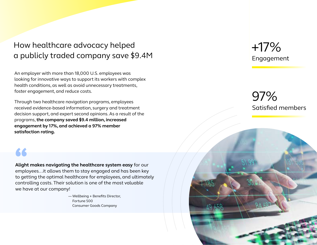# How healthcare advocacy helped a publicly traded company save \$9.4M

An employer with more than 18,000 U.S. employees was looking for innovative ways to support its workers with complex health conditions, as well as avoid unnecessary treatments, foster engagement, and reduce costs.

Through two healthcare navigation programs, employees received evidence-based information, surgery and treatment decision support, and expert second opinions. As a result of the programs, **the company saved \$9.4 million, increased engagement by 17%, and achieved a 97% member satisfaction rating.**

**Alight makes navigating the healthcare system easy** for our employees...it allows them to stay engaged and has been key to getting the optimal healthcare for employees, and ultimately controlling costs. Their solution is one of the most valuable **Alight makes navigating<br>employees...it allows ther<br>to getting the optimal he<br>controlling costs. Their so<br>we have at our company!** 

> — Wellbeing + Benefits Director, Fortune 500 Consumer Goods Company

# Engagement +17%

# Satisfied members 97%

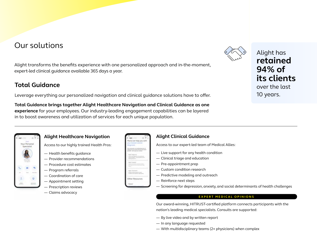# Our solutions

Alight transforms the benefits experience with one personalized approach and in-the-moment, expert-led clinical guidance available 365 days a year.

### **Total Guidance**

Leverage everything our personalized navigation and clinical guidance solutions have to offer.

**Total Guidance brings together Alight Healthcare Navigation and Clinical Guidance as one experience** for your employees. Our industry-leading engagement capabilities can be layered in to boost awareness and utilization of services for each unique population.



Alight has **retained 94% of its clients**  over the last 10 years.



### **Alight Healthcare Navigation**

Access to our highly trained Health Pros:

- Health benefits guidance
- Provider recommendations
- Procedure cost estimates
- Program referrals
- Coordination of care
- Appointment setting
- Prescription reviews
- Claims advocacy



### **Alight Clinical Guidance**

Access to our expert-led team of Medical Allies:

- Live support for any health condition
- Clinical triage and education
- Pre-appointment prep
- Custom condition research
- Predictive modeling and outreach
- Reinforce next steps
- Screening for depression, anxiety, and social determinants of health challenges

#### **EXPERT MEDICAL OPINIONS**

Our award-winning, HITRUST-certified platform connects participants with the nation's leading medical specialists. Consults are supported:

- By live video and by written report
- In any language requested
- With multidisciplinary teams (2+ physicians) when complex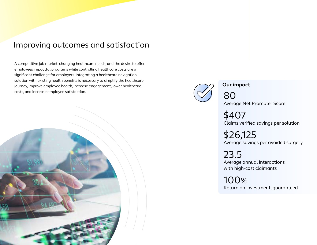### Improving outcomes and satisfaction

A competitive job market, changing healthcare needs, and the desire to offer employees impactful programs while controlling healthcare costs are a significant challenge for employers. Integrating a healthcare navigation solution with existing health benefits is necessary to simplify the healthcare journey, improve employee health, increase engagement, lower healthcare costs, and increase employee satisfaction.





**Our impact**

80

Average Net Promoter Score

\$407 Claims verified savings per solution

\$26,125 Average savings per avoided surgery

23.5 Average annual interactions with high-cost claimants

100% Return on investment, guaranteed